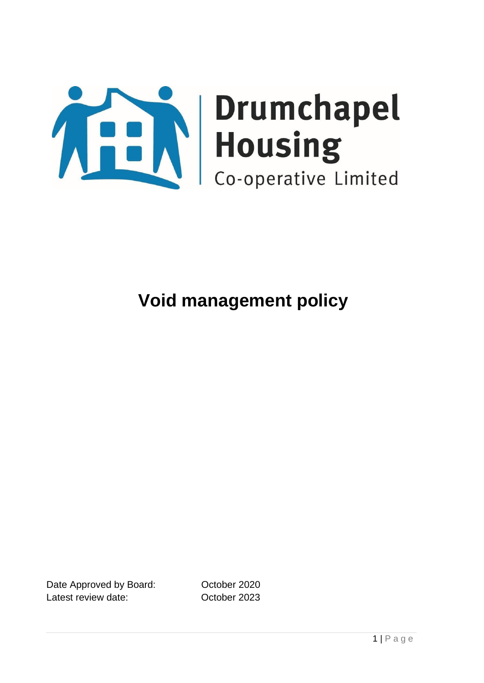

Date Approved by Board: Corober 2020 Latest review date: Corrected by October 2023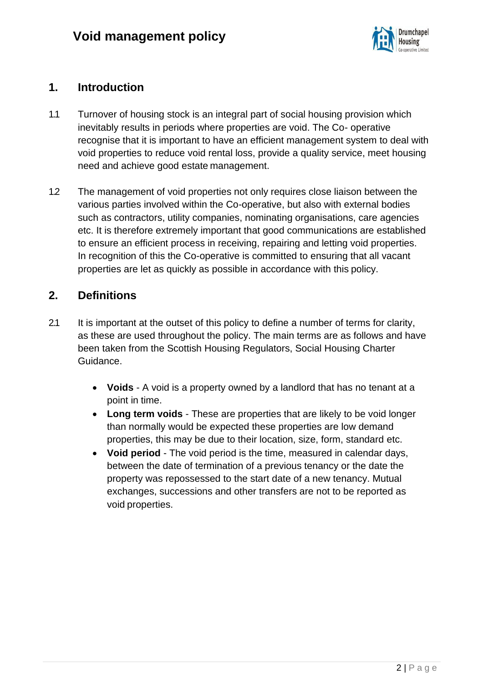

### **1. Introduction**

- 1.1 Turnover of housing stock is an integral part of social housing provision which inevitably results in periods where properties are void. The Co- operative recognise that it is important to have an efficient management system to deal with void properties to reduce void rental loss, provide a quality service, meet housing need and achieve good estate management.
- 1.2 The management of void properties not only requires close liaison between the various parties involved within the Co-operative, but also with external bodies such as contractors, utility companies, nominating organisations, care agencies etc. It is therefore extremely important that good communications are established to ensure an efficient process in receiving, repairing and letting void properties. In recognition of this the Co-operative is committed to ensuring that all vacant properties are let as quickly as possible in accordance with this policy.

## **2. Definitions**

- 2.1 It is important at the outset of this policy to define a number of terms for clarity, as these are used throughout the policy. The main terms are as follows and have been taken from the Scottish Housing Regulators, Social Housing Charter Guidance.
	- **Voids**  A void is a property owned by a landlord that has no tenant at a point in time.
	- **Long term voids**  These are properties that are likely to be void longer than normally would be expected these properties are low demand properties, this may be due to their location, size, form, standard etc.
	- **Void period**  The void period is the time, measured in calendar days, between the date of termination of a previous tenancy or the date the property was repossessed to the start date of a new tenancy. Mutual exchanges, successions and other transfers are not to be reported as void properties.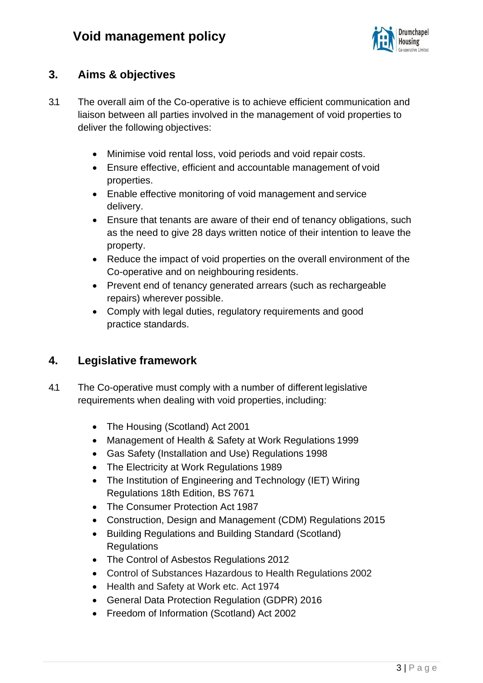

# **3. Aims & objectives**

- 3.1 The overall aim of the Co-operative is to achieve efficient communication and liaison between all parties involved in the management of void properties to deliver the following objectives:
	- Minimise void rental loss, void periods and void repair costs.
	- Ensure effective, efficient and accountable management of void properties.
	- Enable effective monitoring of void management and service delivery.
	- Ensure that tenants are aware of their end of tenancy obligations, such as the need to give 28 days written notice of their intention to leave the property.
	- Reduce the impact of void properties on the overall environment of the Co-operative and on neighbouring residents.
	- Prevent end of tenancy generated arrears (such as rechargeable repairs) wherever possible.
	- Comply with legal duties, regulatory requirements and good practice standards.

### **4. Legislative framework**

- 4.1 The Co-operative must comply with a number of different legislative requirements when dealing with void properties, including:
	- The Housing (Scotland) Act 2001
	- Management of Health & Safety at Work Regulations 1999
	- Gas Safety (Installation and Use) Regulations 1998
	- The Electricity at Work Regulations 1989
	- The Institution of Engineering and Technology (IET) Wiring Regulations 18th Edition, BS 7671
	- The Consumer Protection Act 1987
	- Construction, Design and Management (CDM) Regulations 2015
	- Building Regulations and Building Standard (Scotland) **Regulations**
	- The Control of Asbestos Regulations 2012
	- Control of Substances Hazardous to Health Regulations 2002
	- Health and Safety at Work etc. Act 1974
	- General Data Protection Regulation (GDPR) 2016
	- Freedom of Information (Scotland) Act 2002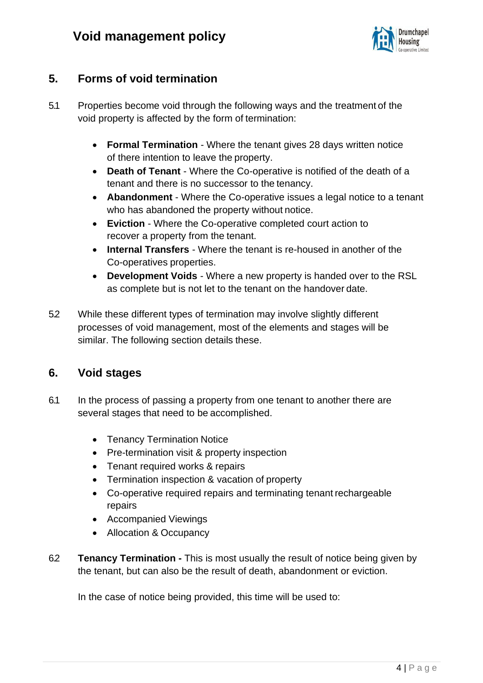

# **5. Forms of void termination**

- 5.1 Properties become void through the following ways and the treatment of the void property is affected by the form of termination:
	- **Formal Termination**  Where the tenant gives 28 days written notice of there intention to leave the property.
	- **Death of Tenant**  Where the Co-operative is notified of the death of a tenant and there is no successor to the tenancy.
	- **Abandonment**  Where the Co-operative issues a legal notice to a tenant who has abandoned the property without notice.
	- **Eviction**  Where the Co-operative completed court action to recover a property from the tenant.
	- **Internal Transfers**  Where the tenant is re-housed in another of the Co-operatives properties.
	- **Development Voids**  Where a new property is handed over to the RSL as complete but is not let to the tenant on the handover date.
- 5.2 While these different types of termination may involve slightly different processes of void management, most of the elements and stages will be similar. The following section details these.

### **6. Void stages**

- 6.1 In the process of passing a property from one tenant to another there are several stages that need to be accomplished.
	- Tenancy Termination Notice
	- Pre-termination visit & property inspection
	- Tenant required works & repairs
	- Termination inspection & vacation of property
	- Co-operative required repairs and terminating tenant rechargeable repairs
	- Accompanied Viewings
	- Allocation & Occupancy
- 6.2 **Tenancy Termination -** This is most usually the result of notice being given by the tenant, but can also be the result of death, abandonment or eviction.

In the case of notice being provided, this time will be used to: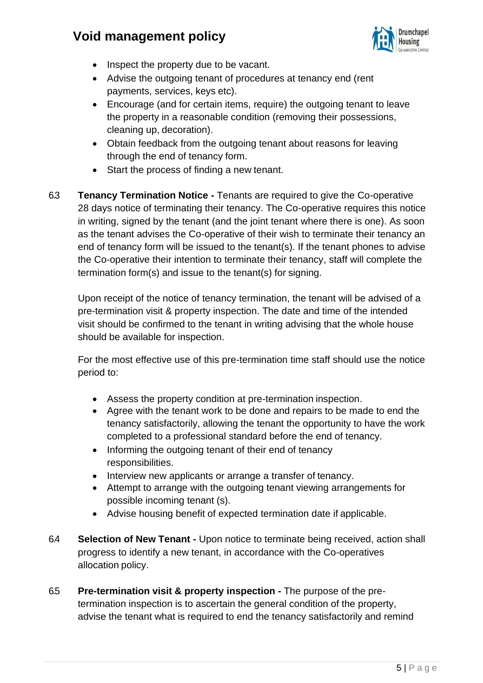

- Inspect the property due to be vacant.
- Advise the outgoing tenant of procedures at tenancy end (rent payments, services, keys etc).
- Encourage (and for certain items, require) the outgoing tenant to leave the property in a reasonable condition (removing their possessions, cleaning up, decoration).
- Obtain feedback from the outgoing tenant about reasons for leaving through the end of tenancy form.
- Start the process of finding a new tenant.
- 6.3 **Tenancy Termination Notice -** Tenants are required to give the Co-operative 28 days notice of terminating their tenancy. The Co-operative requires this notice in writing, signed by the tenant (and the joint tenant where there is one). As soon as the tenant advises the Co-operative of their wish to terminate their tenancy an end of tenancy form will be issued to the tenant(s). If the tenant phones to advise the Co-operative their intention to terminate their tenancy, staff will complete the termination form(s) and issue to the tenant(s) for signing.

Upon receipt of the notice of tenancy termination, the tenant will be advised of a pre-termination visit & property inspection. The date and time of the intended visit should be confirmed to the tenant in writing advising that the whole house should be available for inspection.

For the most effective use of this pre-termination time staff should use the notice period to:

- Assess the property condition at pre-termination inspection.
- Agree with the tenant work to be done and repairs to be made to end the tenancy satisfactorily, allowing the tenant the opportunity to have the work completed to a professional standard before the end of tenancy.
- Informing the outgoing tenant of their end of tenancy responsibilities.
- Interview new applicants or arrange a transfer of tenancy.
- Attempt to arrange with the outgoing tenant viewing arrangements for possible incoming tenant (s).
- Advise housing benefit of expected termination date if applicable.
- 6.4 **Selection of New Tenant -** Upon notice to terminate being received, action shall progress to identify a new tenant, in accordance with the Co-operatives allocation policy.
- 6.5 **Pre-termination visit & property inspection -** The purpose of the pretermination inspection is to ascertain the general condition of the property, advise the tenant what is required to end the tenancy satisfactorily and remind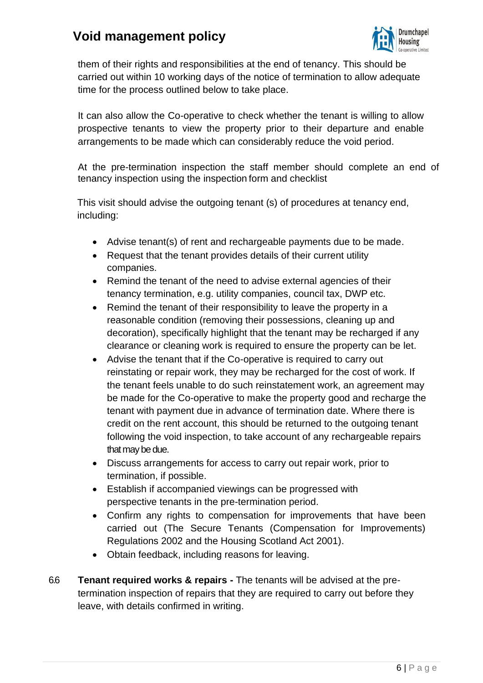

them of their rights and responsibilities at the end of tenancy. This should be carried out within 10 working days of the notice of termination to allow adequate time for the process outlined below to take place.

It can also allow the Co-operative to check whether the tenant is willing to allow prospective tenants to view the property prior to their departure and enable arrangements to be made which can considerably reduce the void period.

At the pre-termination inspection the staff member should complete an end of tenancy inspection using the inspection form and checklist

This visit should advise the outgoing tenant (s) of procedures at tenancy end, including:

- Advise tenant(s) of rent and rechargeable payments due to be made.
- Request that the tenant provides details of their current utility companies.
- Remind the tenant of the need to advise external agencies of their tenancy termination, e.g. utility companies, council tax, DWP etc.
- Remind the tenant of their responsibility to leave the property in a reasonable condition (removing their possessions, cleaning up and decoration), specifically highlight that the tenant may be recharged if any clearance or cleaning work is required to ensure the property can be let.
- Advise the tenant that if the Co-operative is required to carry out reinstating or repair work, they may be recharged for the cost of work. If the tenant feels unable to do such reinstatement work, an agreement may be made for the Co-operative to make the property good and recharge the tenant with payment due in advance of termination date. Where there is credit on the rent account, this should be returned to the outgoing tenant following the void inspection, to take account of any rechargeable repairs that may be due.
- Discuss arrangements for access to carry out repair work, prior to termination, if possible.
- Establish if accompanied viewings can be progressed with perspective tenants in the pre-termination period.
- Confirm any rights to compensation for improvements that have been carried out (The Secure Tenants (Compensation for Improvements) Regulations 2002 and the Housing Scotland Act 2001).
- Obtain feedback, including reasons for leaving.
- 6.6 **Tenant required works & repairs -** The tenants will be advised at the pretermination inspection of repairs that they are required to carry out before they leave, with details confirmed in writing.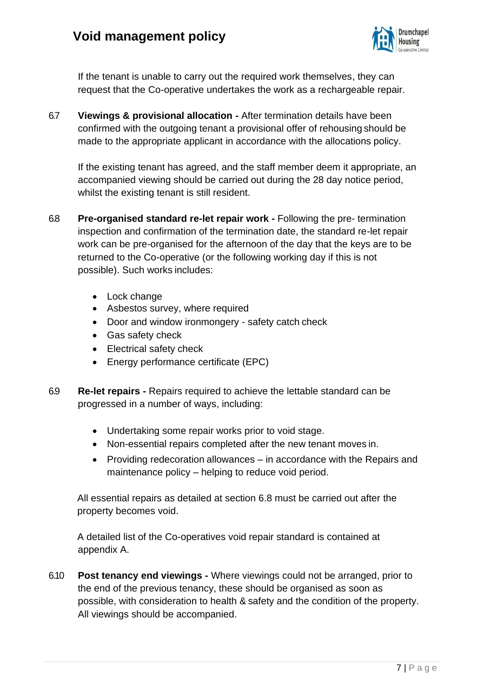

If the tenant is unable to carry out the required work themselves, they can request that the Co-operative undertakes the work as a rechargeable repair.

6.7 **Viewings & provisional allocation -** After termination details have been confirmed with the outgoing tenant a provisional offer of rehousing should be made to the appropriate applicant in accordance with the allocations policy.

If the existing tenant has agreed, and the staff member deem it appropriate, an accompanied viewing should be carried out during the 28 day notice period, whilst the existing tenant is still resident.

- 6.8 **Pre-organised standard re-let repair work -** Following the pre- termination inspection and confirmation of the termination date, the standard re-let repair work can be pre-organised for the afternoon of the day that the keys are to be returned to the Co-operative (or the following working day if this is not possible). Such works includes:
	- Lock change
	- Asbestos survey, where required
	- Door and window ironmongery safety catch check
	- Gas safety check
	- Electrical safety check
	- Energy performance certificate (EPC)
- 6.9 **Re-let repairs -** Repairs required to achieve the lettable standard can be progressed in a number of ways, including:
	- Undertaking some repair works prior to void stage.
	- Non-essential repairs completed after the new tenant moves in.
	- Providing redecoration allowances in accordance with the Repairs and maintenance policy – helping to reduce void period.

All essential repairs as detailed at section 6.8 must be carried out after the property becomes void.

A detailed list of the Co-operatives void repair standard is contained at appendix A.

6.10 **Post tenancy end viewings -** Where viewings could not be arranged, prior to the end of the previous tenancy, these should be organised as soon as possible, with consideration to health & safety and the condition of the property. All viewings should be accompanied.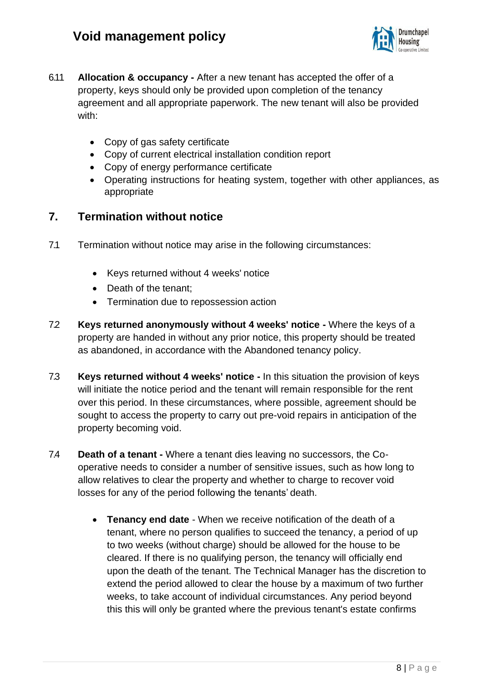

- 6.11 **Allocation & occupancy -** After a new tenant has accepted the offer of a property, keys should only be provided upon completion of the tenancy agreement and all appropriate paperwork. The new tenant will also be provided with:
	- Copy of gas safety certificate
	- Copy of current electrical installation condition report
	- Copy of energy performance certificate
	- Operating instructions for heating system, together with other appliances, as appropriate

### **7. Termination without notice**

- 7.1 Termination without notice may arise in the following circumstances:
	- Keys returned without 4 weeks' notice
	- Death of the tenant;
	- Termination due to repossession action
- 7.2 **Keys returned anonymously without 4 weeks' notice -** Where the keys of a property are handed in without any prior notice, this property should be treated as abandoned, in accordance with the Abandoned tenancy policy.
- 7.3 **Keys returned without 4 weeks' notice -** In this situation the provision of keys will initiate the notice period and the tenant will remain responsible for the rent over this period. In these circumstances, where possible, agreement should be sought to access the property to carry out pre-void repairs in anticipation of the property becoming void.
- 7.4 **Death of a tenant -** Where a tenant dies leaving no successors, the Cooperative needs to consider a number of sensitive issues, such as how long to allow relatives to clear the property and whether to charge to recover void losses for any of the period following the tenants' death.
	- **Tenancy end date**  When we receive notification of the death of a tenant, where no person qualifies to succeed the tenancy, a period of up to two weeks (without charge) should be allowed for the house to be cleared. If there is no qualifying person, the tenancy will officially end upon the death of the tenant. The Technical Manager has the discretion to extend the period allowed to clear the house by a maximum of two further weeks, to take account of individual circumstances. Any period beyond this this will only be granted where the previous tenant's estate confirms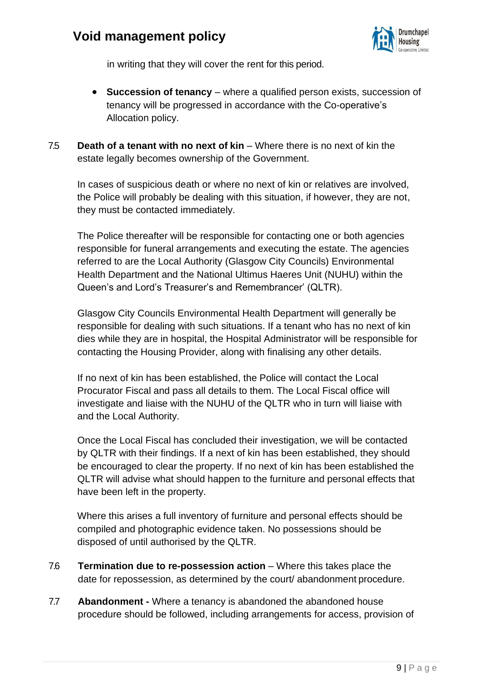

in writing that they will cover the rent for this period.

- **Succession of tenancy** where a qualified person exists, succession of tenancy will be progressed in accordance with the Co-operative's Allocation policy.
- 7.5 **Death of a tenant with no next of kin** Where there is no next of kin the estate legally becomes ownership of the Government.

In cases of suspicious death or where no next of kin or relatives are involved, the Police will probably be dealing with this situation, if however, they are not, they must be contacted immediately.

The Police thereafter will be responsible for contacting one or both agencies responsible for funeral arrangements and executing the estate. The agencies referred to are the Local Authority (Glasgow City Councils) Environmental Health Department and the National Ultimus Haeres Unit (NUHU) within the Queen's and Lord's Treasurer's and Remembrancer' (QLTR).

Glasgow City Councils Environmental Health Department will generally be responsible for dealing with such situations. If a tenant who has no next of kin dies while they are in hospital, the Hospital Administrator will be responsible for contacting the Housing Provider, along with finalising any other details.

If no next of kin has been established, the Police will contact the Local Procurator Fiscal and pass all details to them. The Local Fiscal office will investigate and liaise with the NUHU of the QLTR who in turn will liaise with and the Local Authority.

Once the Local Fiscal has concluded their investigation, we will be contacted by QLTR with their findings. If a next of kin has been established, they should be encouraged to clear the property. If no next of kin has been established the QLTR will advise what should happen to the furniture and personal effects that have been left in the property.

Where this arises a full inventory of furniture and personal effects should be compiled and photographic evidence taken. No possessions should be disposed of until authorised by the QLTR.

- 7.6 **Termination due to re-possession action**  Where this takes place the date for repossession, as determined by the court/ abandonment procedure.
- 7.7 **Abandonment -** Where a tenancy is abandoned the abandoned house procedure should be followed, including arrangements for access, provision of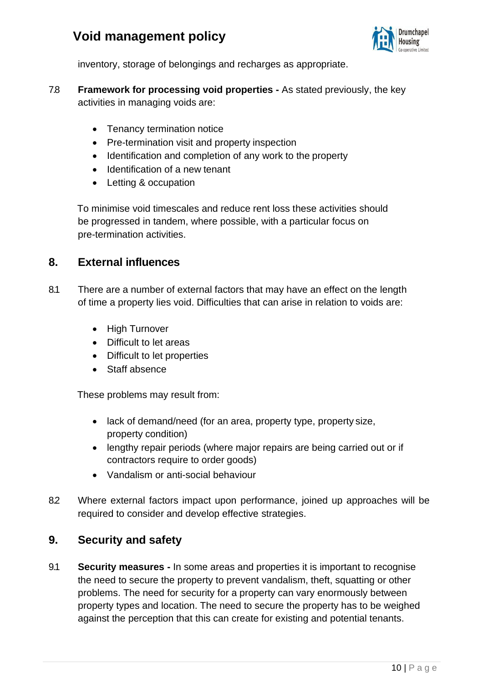

inventory, storage of belongings and recharges as appropriate.

- 7.8 **Framework for processing void properties -** As stated previously, the key activities in managing voids are:
	- Tenancy termination notice
	- Pre-termination visit and property inspection
	- Identification and completion of any work to the property
	- Identification of a new tenant
	- Letting & occupation

To minimise void timescales and reduce rent loss these activities should be progressed in tandem, where possible, with a particular focus on pre-termination activities.

#### **8. External influences**

- 8.1 There are a number of external factors that may have an effect on the length of time a property lies void. Difficulties that can arise in relation to voids are:
	- High Turnover
	- Difficult to let areas
	- Difficult to let properties
	- Staff absence

These problems may result from:

- lack of demand/need (for an area, property type, property size, property condition)
- lengthy repair periods (where major repairs are being carried out or if contractors require to order goods)
- Vandalism or anti-social behaviour
- 8.2 Where external factors impact upon performance, joined up approaches will be required to consider and develop effective strategies.

#### **9. Security and safety**

9.1 **Security measures -** In some areas and properties it is important to recognise the need to secure the property to prevent vandalism, theft, squatting or other problems. The need for security for a property can vary enormously between property types and location. The need to secure the property has to be weighed against the perception that this can create for existing and potential tenants.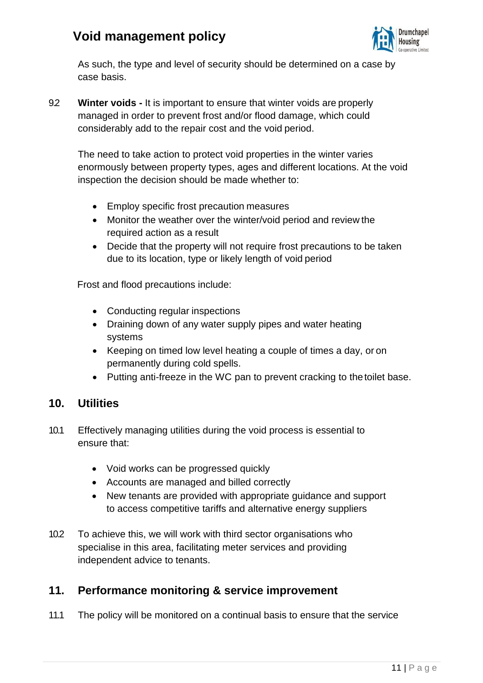

As such, the type and level of security should be determined on a case by case basis.

9.2 **Winter voids -** It is important to ensure that winter voids are properly managed in order to prevent frost and/or flood damage, which could considerably add to the repair cost and the void period.

The need to take action to protect void properties in the winter varies enormously between property types, ages and different locations. At the void inspection the decision should be made whether to:

- Employ specific frost precaution measures
- Monitor the weather over the winter/void period and review the required action as a result
- Decide that the property will not require frost precautions to be taken due to its location, type or likely length of void period

Frost and flood precautions include:

- Conducting regular inspections
- Draining down of any water supply pipes and water heating systems
- Keeping on timed low level heating a couple of times a day, or on permanently during cold spells.
- Putting anti-freeze in the WC pan to prevent cracking to the toilet base.

#### **10. Utilities**

- 10.1 Effectively managing utilities during the void process is essential to ensure that:
	- Void works can be progressed quickly
	- Accounts are managed and billed correctly
	- New tenants are provided with appropriate guidance and support to access competitive tariffs and alternative energy suppliers
- 10.2 To achieve this, we will work with third sector organisations who specialise in this area, facilitating meter services and providing independent advice to tenants.

#### **11. Performance monitoring & service improvement**

11.1 The policy will be monitored on a continual basis to ensure that the service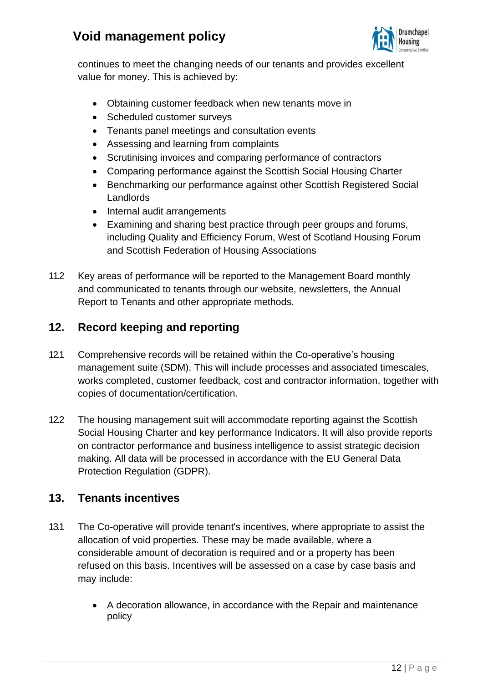

continues to meet the changing needs of our tenants and provides excellent value for money. This is achieved by:

- Obtaining customer feedback when new tenants move in
- Scheduled customer surveys
- Tenants panel meetings and consultation events
- Assessing and learning from complaints
- Scrutinising invoices and comparing performance of contractors
- Comparing performance against the Scottish Social Housing Charter
- Benchmarking our performance against other Scottish Registered Social Landlords
- Internal audit arrangements
- Examining and sharing best practice through peer groups and forums, including Quality and Efficiency Forum, West of Scotland Housing Forum and Scottish Federation of Housing Associations
- 11.2 Key areas of performance will be reported to the Management Board monthly and communicated to tenants through our website, newsletters, the Annual Report to Tenants and other appropriate methods.

## **12. Record keeping and reporting**

- 12.1 Comprehensive records will be retained within the Co-operative's housing management suite (SDM). This will include processes and associated timescales, works completed, customer feedback, cost and contractor information, together with copies of documentation/certification.
- 12.2 The housing management suit will accommodate reporting against the Scottish Social Housing Charter and key performance Indicators. It will also provide reports on contractor performance and business intelligence to assist strategic decision making. All data will be processed in accordance with the EU General Data Protection Regulation (GDPR).

### **13. Tenants incentives**

- 13.1 The Co-operative will provide tenant's incentives, where appropriate to assist the allocation of void properties. These may be made available, where a considerable amount of decoration is required and or a property has been refused on this basis. Incentives will be assessed on a case by case basis and may include:
	- A decoration allowance, in accordance with the Repair and maintenance policy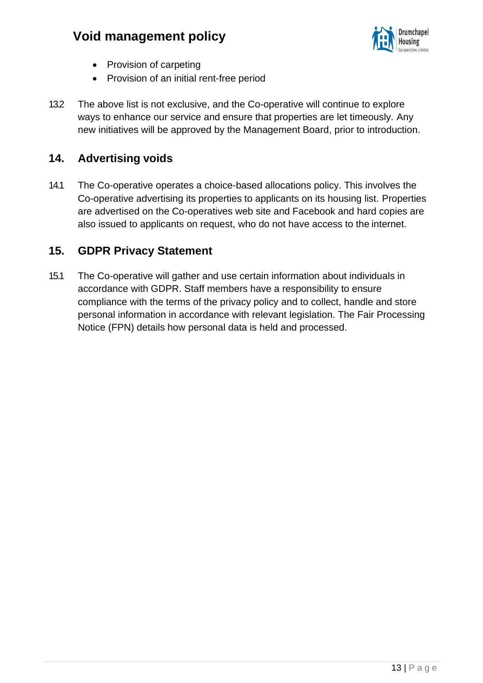

- Provision of carpeting
- Provision of an initial rent-free period
- 13.2 The above list is not exclusive, and the Co-operative will continue to explore ways to enhance our service and ensure that properties are let timeously. Any new initiatives will be approved by the Management Board, prior to introduction.

### **14. Advertising voids**

14.1 The Co-operative operates a choice-based allocations policy. This involves the Co-operative advertising its properties to applicants on its housing list. Properties are advertised on the Co-operatives web site and Facebook and hard copies are also issued to applicants on request, who do not have access to the internet.

#### **15. GDPR Privacy Statement**

15.1 The Co-operative will gather and use certain information about individuals in accordance with GDPR. Staff members have a responsibility to ensure compliance with the terms of the privacy policy and to collect, handle and store personal information in accordance with relevant legislation. The Fair Processing Notice (FPN) details how personal data is held and processed.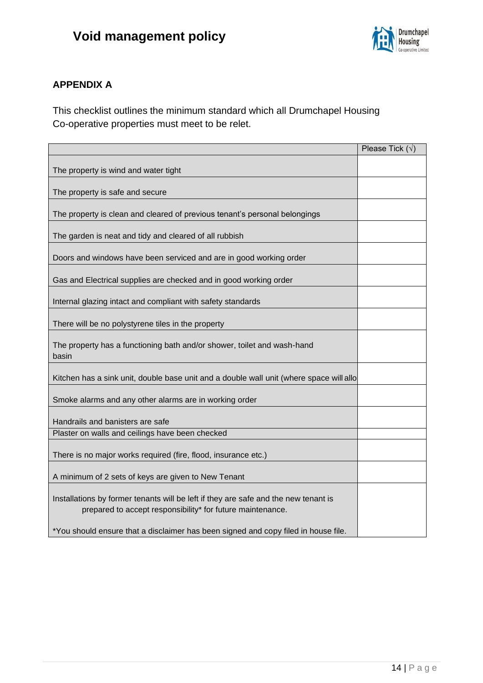

#### **APPENDIX A**

This checklist outlines the minimum standard which all Drumchapel Housing Co-operative properties must meet to be relet.

|                                                                                                                                                   | Please Tick $(\sqrt{})$ |
|---------------------------------------------------------------------------------------------------------------------------------------------------|-------------------------|
| The property is wind and water tight                                                                                                              |                         |
| The property is safe and secure                                                                                                                   |                         |
| The property is clean and cleared of previous tenant's personal belongings                                                                        |                         |
| The garden is neat and tidy and cleared of all rubbish                                                                                            |                         |
| Doors and windows have been serviced and are in good working order                                                                                |                         |
| Gas and Electrical supplies are checked and in good working order                                                                                 |                         |
| Internal glazing intact and compliant with safety standards                                                                                       |                         |
| There will be no polystyrene tiles in the property                                                                                                |                         |
| The property has a functioning bath and/or shower, toilet and wash-hand<br>basin                                                                  |                         |
| Kitchen has a sink unit, double base unit and a double wall unit (where space will allo                                                           |                         |
| Smoke alarms and any other alarms are in working order                                                                                            |                         |
| Handrails and banisters are safe                                                                                                                  |                         |
| Plaster on walls and ceilings have been checked                                                                                                   |                         |
| There is no major works required (fire, flood, insurance etc.)                                                                                    |                         |
| A minimum of 2 sets of keys are given to New Tenant                                                                                               |                         |
| Installations by former tenants will be left if they are safe and the new tenant is<br>prepared to accept responsibility* for future maintenance. |                         |
| *You should ensure that a disclaimer has been signed and copy filed in house file.                                                                |                         |